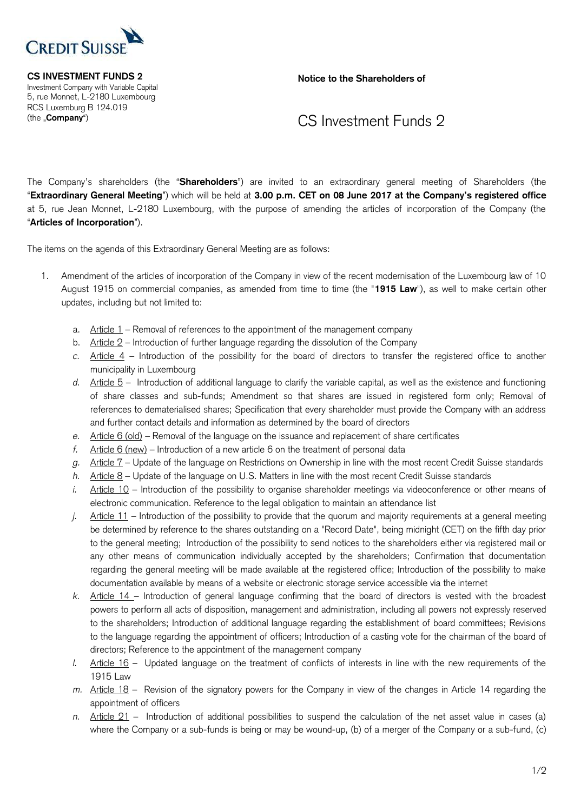

 Investment Company with Variable Capital 5, rue Monnet, L-2180 Luxembourg RCS Luxemburg B 124.019

**CS INVESTMENT FUNDS 2** Notice to the Shareholders of

## (the "**Company**") CS Investment Funds 2

 The Company's shareholders (the "**Shareholders**") are invited to an extraordinary general meeting of Shareholders (the "**Extraordinary General Meeting**") which will be held at **3.00 p.m. CET on 08 June 2017 at the Company's registered office** at 5, rue Jean Monnet, L-2180 Luxembourg, with the purpose of amending the articles of incorporation of the Company (the "**Articles of Incorporation**").

The items on the agenda of this Extraordinary General Meeting are as follows:

- 1. Amendment of the articles of incorporation of the Company in view of the recent modernisation of the Luxembourg law of 10 August 1915 on commercial companies, as amended from time to time (the "**1915 Law**"), as well to make certain other updates, including but not limited to:
	- a. Article 1 Removal of references to the appointment of the management company
	- b. Article 2 Introduction of further language regarding the dissolution of the Company
	- *c.* Article 4 Introduction of the possibility for the board of directors to transfer the registered office to another municipality in Luxembourg
	- *d.* Article 5 Introduction of additional language to clarify the variable capital, as well as the existence and functioning of share classes and sub-funds; Amendment so that shares are issued in registered form only; Removal of references to dematerialised shares; Specification that every shareholder must provide the Company with an address and further contact details and information as determined by the board of directors
	- *e.* Article 6 (old) Removal of the language on the issuance and replacement of share certificates
	- *f.* Article 6 (new) Introduction of a new article 6 on the treatment of personal data
	- *g.* Article 7 Update of the language on Restrictions on Ownership in line with the most recent Credit Suisse standards
	- *h.* Article 8 Update of the language on U.S. Matters in line with the most recent Credit Suisse standards
	- *i.* Article 10 Introduction of the possibility to organise shareholder meetings via videoconference or other means of electronic communication. Reference to the legal obligation to maintain an attendance list
	- *j.* Article 11 Introduction of the possibility to provide that the quorum and majority requirements at a general meeting be determined by reference to the shares outstanding on a "Record Date", being midnight (CET) on the fifth day prior to the general meeting; Introduction of the possibility to send notices to the shareholders either via registered mail or any other means of communication individually accepted by the shareholders; Confirmation that documentation regarding the general meeting will be made available at the registered office; Introduction of the possibility to make documentation available by means of a website or electronic storage service accessible via the internet
	- *k.* Article 14 Introduction of general language confirming that the board of directors is vested with the broadest powers to perform all acts of disposition, management and administration, including all powers not expressly reserved to the shareholders; Introduction of additional language regarding the establishment of board committees; Revisions to the language regarding the appointment of officers; Introduction of a casting vote for the chairman of the board of directors; Reference to the appointment of the management company
	- *l.* Article 16 Updated language on the treatment of conflicts of interests in line with the new requirements of the 1915 Law
	- *m.* Article 18 Revision of the signatory powers for the Company in view of the changes in Article 14 regarding the appointment of officers
	- *n.* Article 21 Introduction of additional possibilities to suspend the calculation of the net asset value in cases (a) where the Company or a sub-funds is being or may be wound-up, (b) of a merger of the Company or a sub-fund, (c)